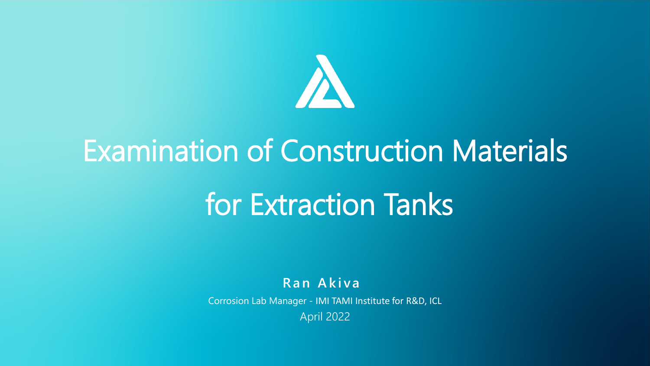

# Examination of Construction Materials for Extraction Tanks

**R a n A k i va** 

Corrosion Lab Manager - IMI TAMI Institute for R&D, ICL

April 2022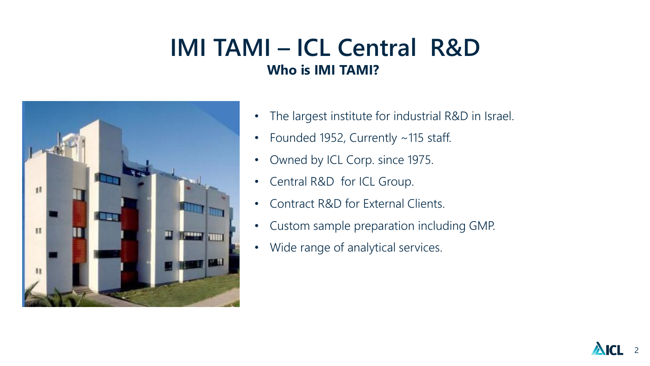#### **IMI TAMI – ICL Central R&D Who is IMI TAMI?**



- The largest institute for industrial R&D in Israel.
- Founded 1952, Currently ~115 staff.
- Owned by ICL Corp. since 1975.
- Central R&D for ICL Group.
- Contract R&D for External Clients.
- Custom sample preparation including GMP.
- Wide range of analytical services.

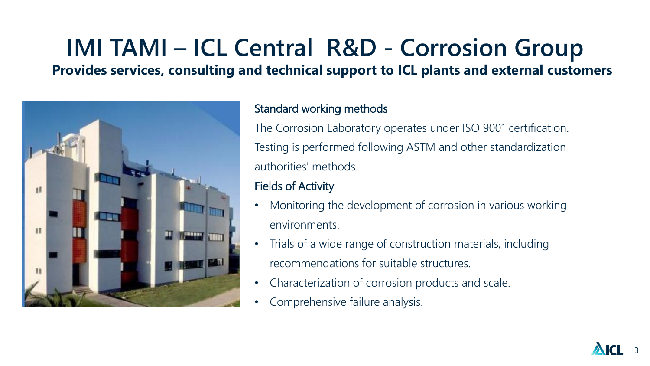## **IMI TAMI – ICL Central R&D - Corrosion Group**

**Provides services, consulting and technical support to ICL plants and external customers**



#### Standard working methods

The Corrosion Laboratory operates under ISO 9001 certification. Testing is performed following ASTM and other standardization authorities' methods.

#### Fields of Activity

- Monitoring the development of corrosion in various working environments.
- Trials of a wide range of construction materials, including recommendations for suitable structures.
- Characterization of corrosion products and scale.
- Comprehensive failure analysis.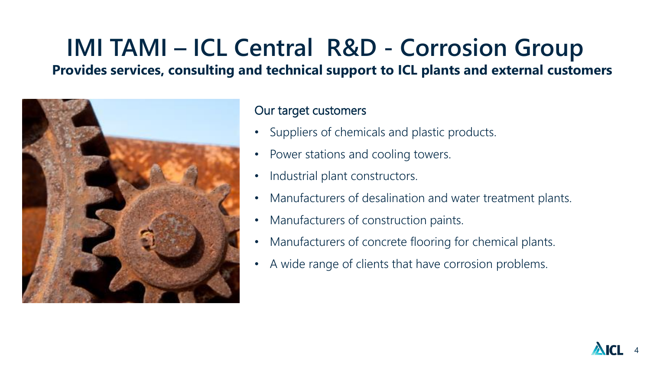### **IMI TAMI – ICL Central R&D - Corrosion Group**

**Provides services, consulting and technical support to ICL plants and external customers**



#### Our target customers

- Suppliers of chemicals and plastic products.
- Power stations and cooling towers.
- Industrial plant constructors.
- Manufacturers of desalination and water treatment plants.
- Manufacturers of construction paints.
- Manufacturers of concrete flooring for chemical plants.
- A wide range of clients that have corrosion problems.

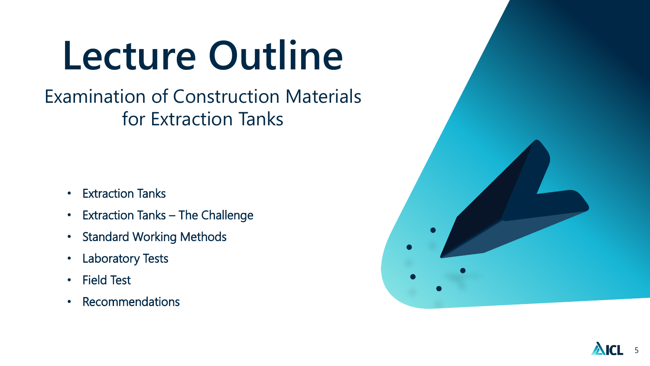# **Lecture Outline**

#### Examination of Construction Materials for Extraction Tanks

- Extraction Tanks
- Extraction Tanks The Challenge
- Standard Working Methods
- Laboratory Tests
- Field Test
- Recommendations



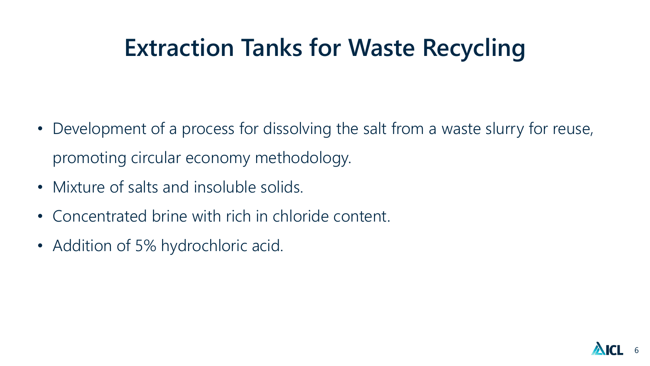### **Extraction Tanks for Waste Recycling**

- Development of a process for dissolving the salt from a waste slurry for reuse, promoting circular economy methodology.
- Mixture of salts and insoluble solids.
- Concentrated brine with rich in chloride content.
- Addition of 5% hydrochloric acid.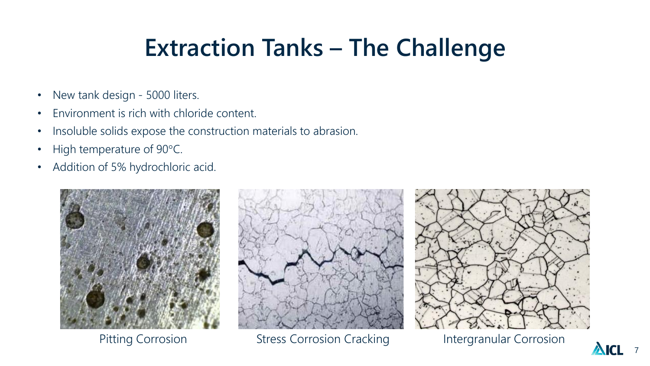## **Extraction Tanks – The Challenge**

- New tank design 5000 liters.
- Environment is rich with chloride content.
- Insoluble solids expose the construction materials to abrasion.
- High temperature of 90°C.
- Addition of 5% hydrochloric acid.





Pitting Corrosion **Stress Corrosion Cracking Intergranular Corrosion** 



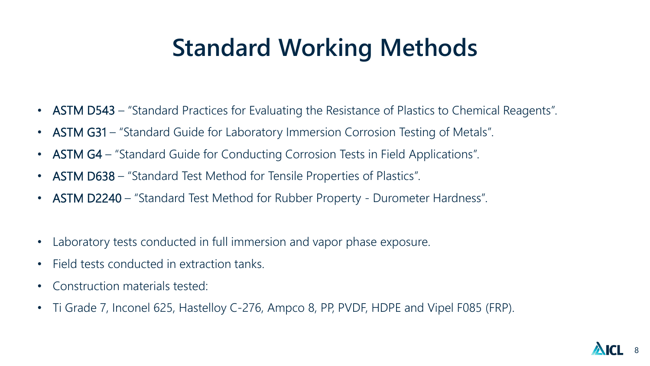### **Standard Working Methods**

- **ASTM D543** "Standard Practices for Evaluating the Resistance of Plastics to Chemical Reagents".
- **ASTM G31** "Standard Guide for Laboratory Immersion Corrosion Testing of Metals".
- **ASTM G4** "Standard Guide for Conducting Corrosion Tests in Field Applications".
- **ASTM D638** "Standard Test Method for Tensile Properties of Plastics".
- **ASTM D2240** "Standard Test Method for Rubber Property Durometer Hardness".
- Laboratory tests conducted in full immersion and vapor phase exposure.
- Field tests conducted in extraction tanks.
- Construction materials tested:
- Ti Grade 7, Inconel 625, Hastelloy C-276, Ampco 8, PP, PVDF, HDPE and Vipel F085 (FRP).

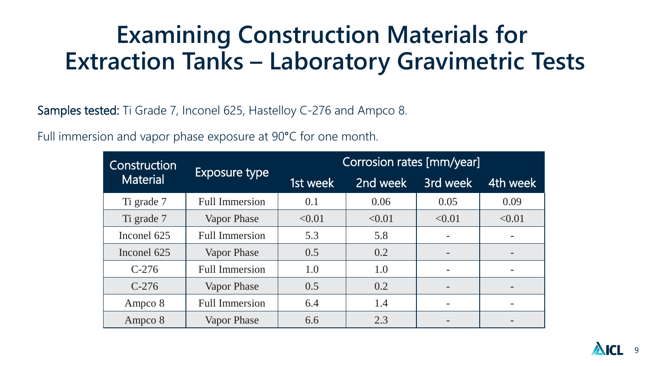Samples tested: Ti Grade 7, Inconel 625, Hastelloy C-276 and Ampco 8.

Full immersion and vapor phase exposure at 90**°**C for one month.

| Construction    | Exposure type         | Corrosion rates [mm/year] |          |                          |          |
|-----------------|-----------------------|---------------------------|----------|--------------------------|----------|
| <b>Material</b> |                       | 1st week                  | 2nd week | 3rd week                 | 4th week |
| Ti grade 7      | <b>Full Immersion</b> | 0.1                       | 0.06     | 0.05                     | 0.09     |
| Ti grade 7      | Vapor Phase           | < 0.01                    | < 0.01   | < 0.01                   | < 0.01   |
| Inconel 625     | <b>Full Immersion</b> | 5.3                       | 5.8      | $\overline{\phantom{a}}$ |          |
| Inconel 625     | <b>Vapor Phase</b>    | 0.5                       | 0.2      |                          |          |
| $C-276$         | <b>Full Immersion</b> | 1.0                       | 1.0      |                          |          |
| $C-276$         | Vapor Phase           | 0.5                       | 0.2      |                          |          |
| Ampco 8         | <b>Full Immersion</b> | 6.4                       | 1.4      |                          |          |
| Ampco 8         | Vapor Phase           | 6.6                       | 2.3      |                          |          |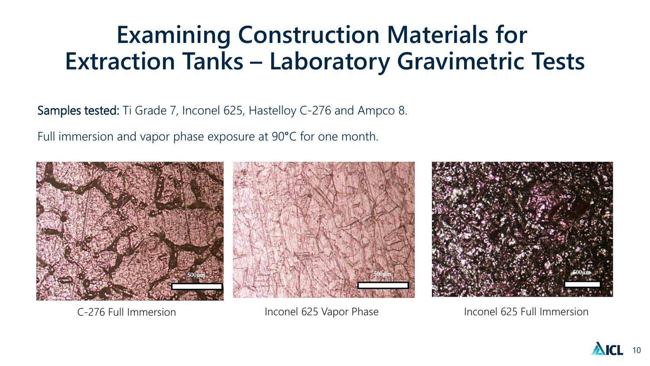Samples tested: Ti Grade 7, Inconel 625, Hastelloy C-276 and Ampco 8.

Full immersion and vapor phase exposure at 90**°**C for one month.



C-276 Full Immersion **Inconel 625 Vapor Phase** Inconel 625 Full Immersion

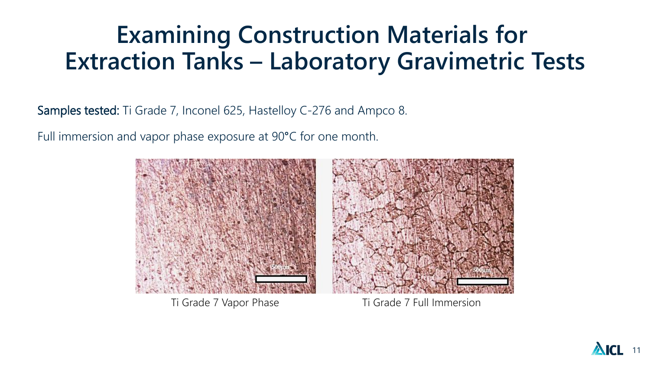Samples tested: Ti Grade 7, Inconel 625, Hastelloy C-276 and Ampco 8.

Full immersion and vapor phase exposure at 90**°**C for one month.



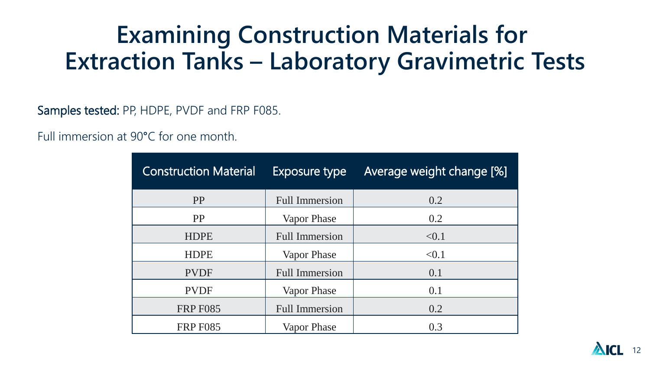Samples tested: PP, HDPE, PVDF and FRP F085.

Full immersion at 90**°**C for one month.

| <b>Construction Material</b> | <b>Exposure type</b>  | Average weight change [%] |
|------------------------------|-----------------------|---------------------------|
| <b>PP</b>                    | <b>Full Immersion</b> | 0.2                       |
| PP                           | Vapor Phase           | 0.2                       |
| <b>HDPE</b>                  | <b>Full Immersion</b> | < 0.1                     |
| <b>HDPE</b>                  | Vapor Phase           | < 0.1                     |
| <b>PVDF</b>                  | <b>Full Immersion</b> | 0.1                       |
| <b>PVDF</b>                  | Vapor Phase           | 0.1                       |
| <b>FRP F085</b>              | <b>Full Immersion</b> | 0.2                       |
| <b>FRP F085</b>              | Vapor Phase           | 0.3                       |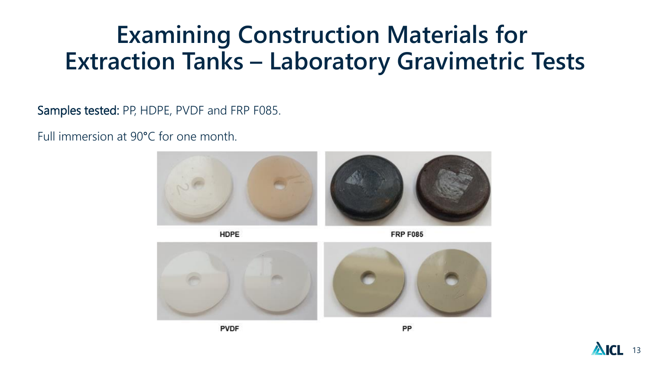Samples tested: PP, HDPE, PVDF and FRP F085.

Full immersion at 90**°**C for one month.



HDPE

**FRP F085** 



**PVDF** 

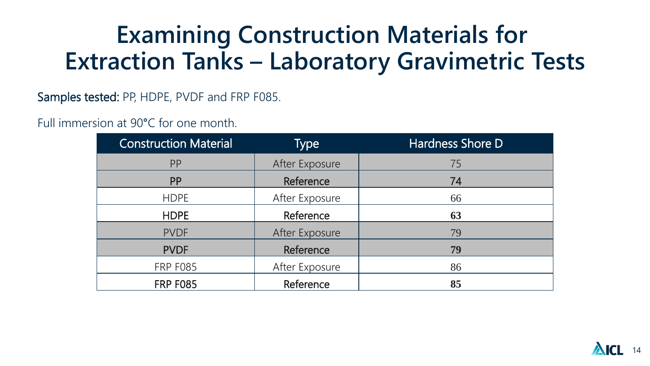Samples tested: PP, HDPE, PVDF and FRP F085.

Full immersion at 90**°**C for one month.

| <b>Construction Material</b> | <b>Type</b>    | Hardness Shore D |
|------------------------------|----------------|------------------|
| PP                           | After Exposure | 75               |
| <b>PP</b>                    | Reference      | 74               |
| <b>HDPE</b>                  | After Exposure | 66               |
| <b>HDPE</b>                  | Reference      | 63               |
| <b>PVDF</b>                  | After Exposure | 79               |
| <b>PVDF</b>                  | Reference      | 79               |
| <b>FRP F085</b>              | After Exposure | 86               |
| <b>FRP F085</b>              | Reference      | 85               |

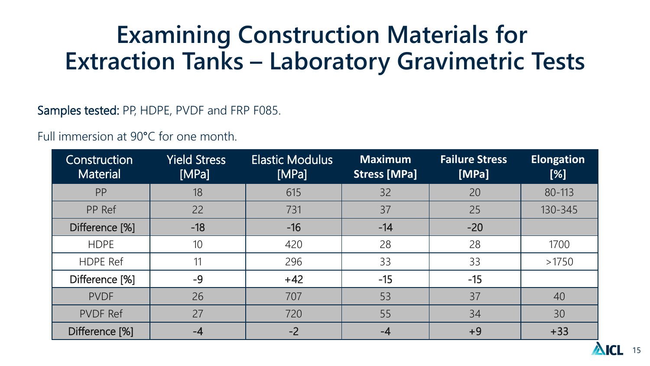Samples tested: PP, HDPE, PVDF and FRP F085.

Full immersion at 90**°**C for one month.

| Construction<br><b>Material</b> | <b>Yield Stress</b><br>[MPa] | <b>Elastic Modulus</b><br>[MPa] | <b>Maximum</b><br><b>Stress [MPa]</b> | <b>Failure Stress</b><br>[MPa] | <b>Elongation</b><br>[%] |
|---------------------------------|------------------------------|---------------------------------|---------------------------------------|--------------------------------|--------------------------|
| PP                              | 18                           | 615                             | 32                                    | 20                             | 80-113                   |
| PP Ref                          | 22                           | 731                             | 37                                    | 25                             | 130-345                  |
| Difference [%]                  | $-18$                        | $-16$                           | $-14$                                 | $-20$                          |                          |
| <b>HDPE</b>                     | 10                           | 420                             | 28                                    | 28                             | 1700                     |
| <b>HDPE Ref</b>                 |                              | 296                             | 33                                    | 33                             | >1750                    |
| Difference [%]                  | $-9$                         | $+42$                           | $-15$                                 | $-15$                          |                          |
| <b>PVDF</b>                     | 26                           | 707                             | 53                                    | 37                             | 40                       |
| <b>PVDF Ref</b>                 | 27                           | 720                             | 55                                    | 34                             | 30                       |
| Difference [%]                  | $-4$                         | $-2$                            | $-4$                                  | $+9$                           | $+33$                    |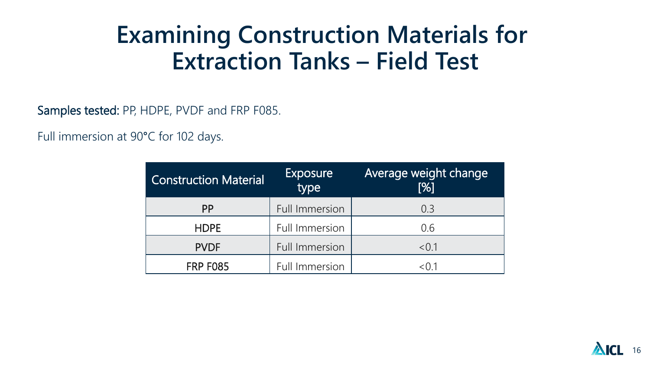#### **Examining Construction Materials for Extraction Tanks – Field Test**

Samples tested: PP, HDPE, PVDF and FRP F085.

Full immersion at 90**°**C for 102 days.

| <b>Construction Material</b> | <b>Exposure</b><br>.<br>type | <b>Average weight change</b><br>[%] |
|------------------------------|------------------------------|-------------------------------------|
| <b>PP</b>                    | <b>Full Immersion</b>        | 0.3                                 |
| <b>HDPE</b>                  | <b>Full Immersion</b>        | 0.6                                 |
| <b>PVDF</b>                  | <b>Full Immersion</b>        | < 0.1                               |
| <b>FRP F085</b>              | <b>Full Immersion</b>        | $<$ $0.1$                           |

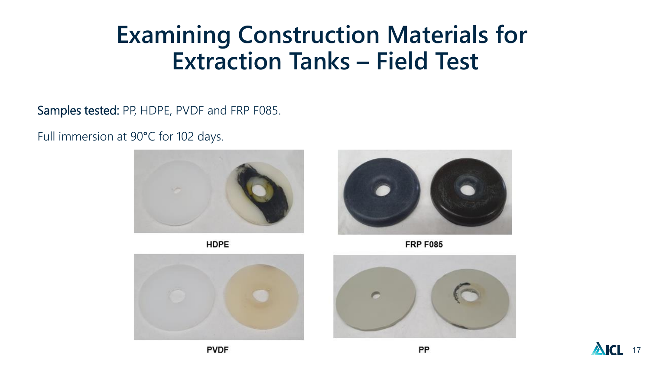#### **Examining Construction Materials for Extraction Tanks – Field Test**

Samples tested: PP, HDPE, PVDF and FRP F085.

Full immersion at 90**°**C for 102 days.







**FRP F085** 





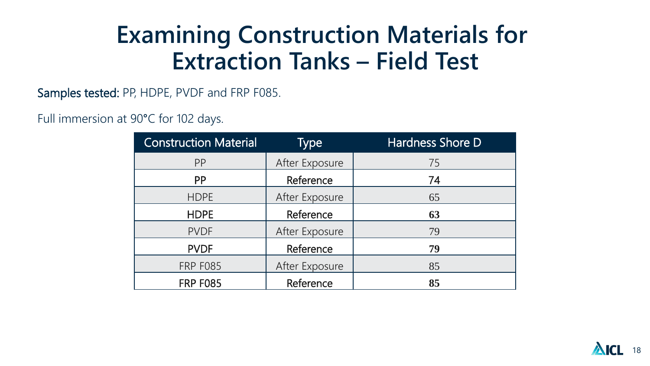#### **Examining Construction Materials for Extraction Tanks – Field Test**

Samples tested: PP, HDPE, PVDF and FRP F085.

Full immersion at 90**°**C for 102 days.

| <b>Construction Material</b> | <b>Type</b>    | <b>Hardness Shore D</b> |
|------------------------------|----------------|-------------------------|
| PP                           | After Exposure | 75                      |
| <b>PP</b>                    | Reference      | 74                      |
| <b>HDPE</b>                  | After Exposure | 65                      |
| <b>HDPE</b>                  | Reference      | 63                      |
| <b>PVDF</b>                  | After Exposure | 79                      |
| <b>PVDF</b>                  | Reference      | 79                      |
| <b>FRP F085</b>              | After Exposure | 85                      |
| <b>FRP F085</b>              | Reference      | 85                      |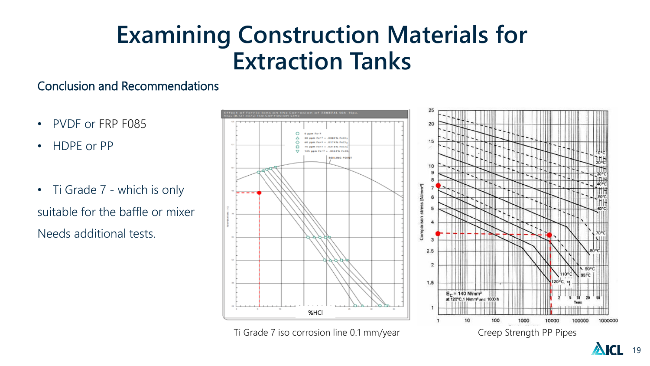#### **Examining Construction Materials for Extraction Tanks**

#### Conclusion and Recommendations

- PVDF or FRP F085
- HDPE or PP
- Ti Grade 7 which is only suitable for the baffle or mixer Needs additional tests.



Ti Grade 7 iso corrosion line 0.1 mm/year Creep Strength PP Pipes

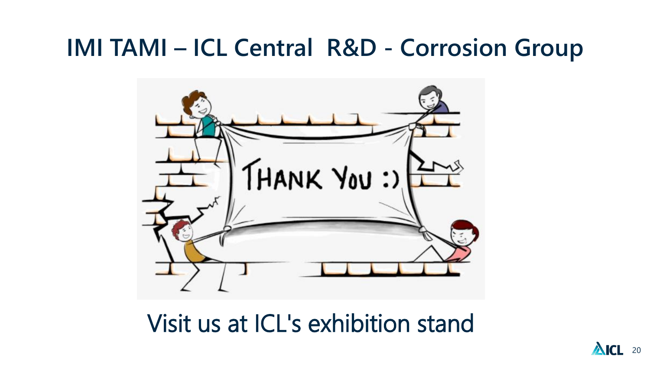#### **IMI TAMI – ICL Central R&D - Corrosion Group**



Visit us at ICL's exhibition stand